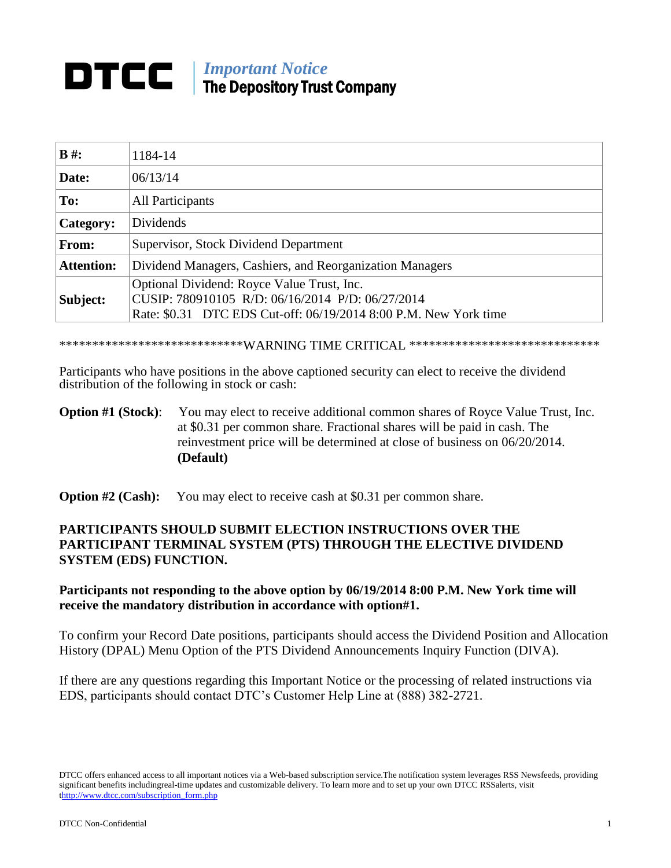## *Important Notice*<br>The Department The Depository Trust Company

| $B \#$ :          | 1184-14                                                                                                                                                            |
|-------------------|--------------------------------------------------------------------------------------------------------------------------------------------------------------------|
| Date:             | 06/13/14                                                                                                                                                           |
| To:               | <b>All Participants</b>                                                                                                                                            |
| Category:         | Dividends                                                                                                                                                          |
| From:             | Supervisor, Stock Dividend Department                                                                                                                              |
| <b>Attention:</b> | Dividend Managers, Cashiers, and Reorganization Managers                                                                                                           |
| Subject:          | Optional Dividend: Royce Value Trust, Inc.<br>CUSIP: 780910105 R/D: 06/16/2014 P/D: 06/27/2014<br>Rate: \$0.31 DTC EDS Cut-off: 06/19/2014 8:00 P.M. New York time |

\*\*\*\*\*\*\*\*\*\*\*\*\*\*\*\*\*\*\*\*\*\*\*\*\*\*\*\*\*WARNING TIME CRITICAL \*\*\*\*\*\*\*\*\*\*\*\*\*\*\*\*\*\*\*\*\*\*\*\*\*\*\*\*\*

Participants who have positions in the above captioned security can elect to receive the dividend distribution of the following in stock or cash:

## **Option #1 (Stock):** You may elect to receive additional common shares of Royce Value Trust, Inc. at \$0.31 per common share. Fractional shares will be paid in cash. The reinvestment price will be determined at close of business on 06/20/2014. **(Default)**

**Option #2 (Cash):** You may elect to receive cash at \$0.31 per common share.

## **PARTICIPANTS SHOULD SUBMIT ELECTION INSTRUCTIONS OVER THE PARTICIPANT TERMINAL SYSTEM (PTS) THROUGH THE ELECTIVE DIVIDEND SYSTEM (EDS) FUNCTION.**

## **Participants not responding to the above option by 06/19/2014 8:00 P.M. New York time will receive the mandatory distribution in accordance with option#1.**

To confirm your Record Date positions, participants should access the Dividend Position and Allocation History (DPAL) Menu Option of the PTS Dividend Announcements Inquiry Function (DIVA).

If there are any questions regarding this Important Notice or the processing of related instructions via EDS, participants should contact DTC's Customer Help Line at (888) 382-2721.

DTCC offers enhanced access to all important notices via a Web-based subscription service.The notification system leverages RSS Newsfeeds, providing significant benefits includingreal-time updates and customizable delivery. To learn more and to set up your own DTCC RSSalerts, visit thttp://www.dtcc.com/subscription\_form.php